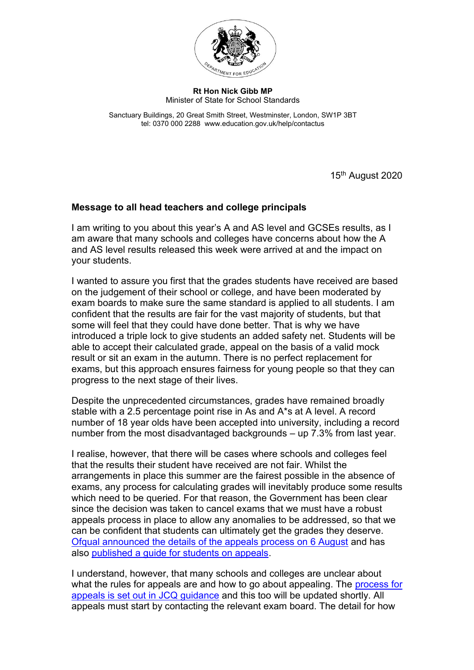

## **Rt Hon Nick Gibb MP** Minister of State for School Standards

Sanctuary Buildings, 20 Great Smith Street, Westminster, London, SW1P 3BT tel: 0370 000 2288 www.education.gov.uk/help/contactus

15th August 2020

## **Message to all head teachers and college principals**

I am writing to you about this year's A and AS level and GCSEs results, as I am aware that many schools and colleges have concerns about how the A and AS level results released this week were arrived at and the impact on your students.

I wanted to assure you first that the grades students have received are based on the judgement of their school or college, and have been moderated by exam boards to make sure the same standard is applied to all students. I am confident that the results are fair for the vast majority of students, but that some will feel that they could have done better. That is why we have introduced a triple lock to give students an added safety net. Students will be able to accept their calculated grade, appeal on the basis of a valid mock result or sit an exam in the autumn. There is no perfect replacement for exams, but this approach ensures fairness for young people so that they can progress to the next stage of their lives.

Despite the unprecedented circumstances, grades have remained broadly stable with a 2.5 percentage point rise in As and A\*s at A level. A record number of 18 year olds have been accepted into university, including a record number from the most disadvantaged backgrounds – up 7.3% from last year.

I realise, however, that there will be cases where schools and colleges feel that the results their student have received are not fair. Whilst the arrangements in place this summer are the fairest possible in the absence of exams, any process for calculating grades will inevitably produce some results which need to be queried. For that reason, the Government has been clear since the decision was taken to cancel exams that we must have a robust appeals process in place to allow any anomalies to be addressed, so that we can be confident that students can ultimately get the grades they deserve. [Ofqual announced the details of the appeals process on 6 August](https://www.gov.uk/government/news/appeal-arrangements-for-as-a-levels-and-gcses?utm_source=15%20August%20-%20HT%20CP&utm_medium=Notify%20HT%20CP&utm_campaign=DfE%20HT%20CP) and has also [published a guide for students on appeals.](https://www.gov.uk/government/publications/student-guide-to-appeals-and-malpractice-or-maladministration-complaints-summer-2020?utm_source=15%20August%20-%20HT%20CP&utm_medium=Notify%20HT%20CP&utm_campaign=DfE%20HT%20CP)

I understand, however, that many schools and colleges are unclear about what the rules for appeals are and how to go about appealing. The process for [appeals is set out in JCQ guidance](https://www.jcq.org.uk/wp-content/uploads/2020/08/JCQ-June-2020-appeals-guidance.pdf) and this too will be updated shortly. All appeals must start by contacting the relevant exam board. The detail for how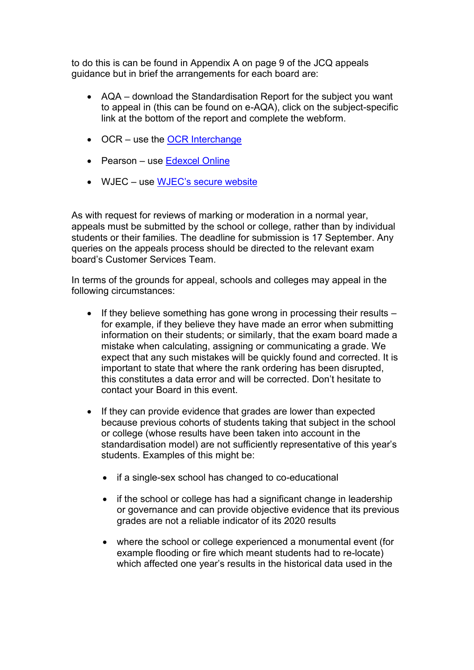to do this is can be found in Appendix A on page 9 of the JCQ appeals guidance but in brief the arrangements for each board are:

- AQA download the Standardisation Report for the subject you want to appeal in (this can be found on e-AQA), click on the subject-specific link at the bottom of the report and complete the webform.
- OCR use the [OCR Interchange](https://interchange.ocr.org.uk/)
- Pearson use [Edexcel Online](https://edexcelonline.pearson.com/)
- WJEC use [WJEC's secure website](https://www.wjecservices.co.uk/)

As with request for reviews of marking or moderation in a normal year, appeals must be submitted by the school or college, rather than by individual students or their families. The deadline for submission is 17 September. Any queries on the appeals process should be directed to the relevant exam board's Customer Services Team.

In terms of the grounds for appeal, schools and colleges may appeal in the following circumstances:

- If they believe something has gone wrong in processing their results for example, if they believe they have made an error when submitting information on their students; or similarly, that the exam board made a mistake when calculating, assigning or communicating a grade. We expect that any such mistakes will be quickly found and corrected. It is important to state that where the rank ordering has been disrupted, this constitutes a data error and will be corrected. Don't hesitate to contact your Board in this event.
- If they can provide evidence that grades are lower than expected because previous cohorts of students taking that subject in the school or college (whose results have been taken into account in the standardisation model) are not sufficiently representative of this year's students. Examples of this might be:
	- if a single-sex school has changed to co-educational
	- if the school or college has had a significant change in leadership or governance and can provide objective evidence that its previous grades are not a reliable indicator of its 2020 results
	- where the school or college experienced a monumental event (for example flooding or fire which meant students had to re-locate) which affected one year's results in the historical data used in the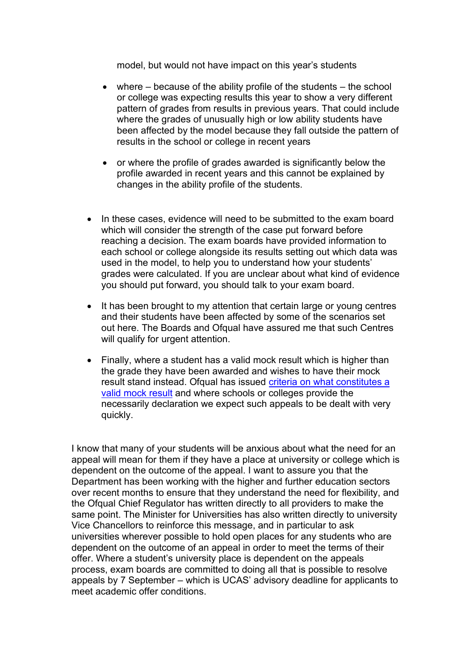model, but would not have impact on this year's students

- where  $-$  because of the ability profile of the students  $-$  the school or college was expecting results this year to show a very different pattern of grades from results in previous years. That could include where the grades of unusually high or low ability students have been affected by the model because they fall outside the pattern of results in the school or college in recent years
- or where the profile of grades awarded is significantly below the profile awarded in recent years and this cannot be explained by changes in the ability profile of the students.
- In these cases, evidence will need to be submitted to the exam board which will consider the strength of the case put forward before reaching a decision. The exam boards have provided information to each school or college alongside its results setting out which data was used in the model, to help you to understand how your students' grades were calculated. If you are unclear about what kind of evidence you should put forward, you should talk to your exam board.
- It has been brought to my attention that certain large or young centres and their students have been affected by some of the scenarios set out here. The Boards and Ofqual have assured me that such Centres will qualify for urgent attention.
- Finally, where a student has a valid mock result which is higher than the grade they have been awarded and wishes to have their mock result stand instead. Ofqual has issued [criteria on what constitutes a](https://www.gov.uk/government/news/appeals-based-on-mock-exams?utm_source=15%20August%20HT%20CP&utm_medium=Notify%20HT%20CP&utm_campaign=DfE%20C19%20HT%20CP&utm_content=immediate)  [valid mock result](https://www.gov.uk/government/news/appeals-based-on-mock-exams?utm_source=15%20August%20HT%20CP&utm_medium=Notify%20HT%20CP&utm_campaign=DfE%20C19%20HT%20CP&utm_content=immediate) and where schools or colleges provide the necessarily declaration we expect such appeals to be dealt with very quickly.

I know that many of your students will be anxious about what the need for an appeal will mean for them if they have a place at university or college which is dependent on the outcome of the appeal. I want to assure you that the Department has been working with the higher and further education sectors over recent months to ensure that they understand the need for flexibility, and the Ofqual Chief Regulator has written directly to all providers to make the same point. The Minister for Universities has also written directly to university Vice Chancellors to reinforce this message, and in particular to ask universities wherever possible to hold open places for any students who are dependent on the outcome of an appeal in order to meet the terms of their offer. Where a student's university place is dependent on the appeals process, exam boards are committed to doing all that is possible to resolve appeals by 7 September – which is UCAS' advisory deadline for applicants to meet academic offer conditions.